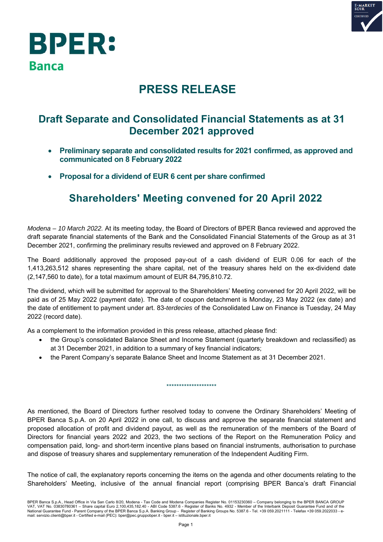



## **PRESS RELEASE**

### **Draft Separate and Consolidated Financial Statements as at 31 December 2021 approved**

- **Preliminary separate and consolidated results for 2021 confirmed, as approved and communicated on 8 February 2022**
- **Proposal for a dividend of EUR 6 cent per share confirmed**

## **Shareholders' Meeting convened for 20 April 2022**

*Modena – 10 March 2022.* At its meeting today, the Board of Directors of BPER Banca reviewed and approved the draft separate financial statements of the Bank and the Consolidated Financial Statements of the Group as at 31 December 2021, confirming the preliminary results reviewed and approved on 8 February 2022.

The Board additionally approved the proposed pay-out of a cash dividend of EUR 0.06 for each of the 1,413,263,512 shares representing the share capital, net of the treasury shares held on the ex-dividend date (2,147,560 to date), for a total maximum amount of EUR 84,795,810.72.

The dividend, which will be submitted for approval to the Shareholders' Meeting convened for 20 April 2022, will be paid as of 25 May 2022 (payment date). The date of coupon detachment is Monday, 23 May 2022 (ex date) and the date of entitlement to payment under art. 83-*terdecies* of the Consolidated Law on Finance is Tuesday, 24 May 2022 (record date).

As a complement to the information provided in this press release, attached please find:

- the Group's consolidated Balance Sheet and Income Statement (quarterly breakdown and reclassified) as at 31 December 2021, in addition to a summary of key financial indicators;
- the Parent Company's separate Balance Sheet and Income Statement as at 31 December 2021.

As mentioned, the Board of Directors further resolved today to convene the Ordinary Shareholders' Meeting of BPER Banca S.p.A. on 20 April 2022 in one call, to discuss and approve the separate financial statement and proposed allocation of profit and dividend payout, as well as the remuneration of the members of the Board of Directors for financial years 2022 and 2023, the two sections of the Report on the Remuneration Policy and compensation paid, long- and short-term incentive plans based on financial instruments, authorisation to purchase and dispose of treasury shares and supplementary remuneration of the Independent Auditing Firm.

\*\*\*\*\*\*\*\*\*\*\*\*\*\*\*\*\*\*\*\*

The notice of call, the explanatory reports concerning the items on the agenda and other documents relating to the Shareholders' Meeting, inclusive of the annual financial report (comprising BPER Banca's draft Financial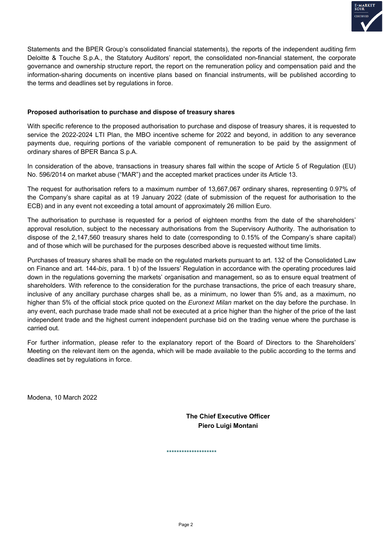

Statements and the BPER Group's consolidated financial statements), the reports of the independent auditing firm Deloitte & Touche S.p.A., the Statutory Auditors' report, the consolidated non-financial statement, the corporate governance and ownership structure report, the report on the remuneration policy and compensation paid and the information-sharing documents on incentive plans based on financial instruments, will be published according to the terms and deadlines set by regulations in force.

#### **Proposed authorisation to purchase and dispose of treasury shares**

With specific reference to the proposed authorisation to purchase and dispose of treasury shares, it is requested to service the 2022-2024 LTI Plan, the MBO incentive scheme for 2022 and beyond, in addition to any severance payments due, requiring portions of the variable component of remuneration to be paid by the assignment of ordinary shares of BPER Banca S.p.A.

In consideration of the above, transactions in treasury shares fall within the scope of Article 5 of Regulation (EU) No. 596/2014 on market abuse ("MAR") and the accepted market practices under its Article 13.

The request for authorisation refers to a maximum number of 13,667,067 ordinary shares, representing 0.97% of the Company's share capital as at 19 January 2022 (date of submission of the request for authorisation to the ECB) and in any event not exceeding a total amount of approximately 26 million Euro.

The authorisation to purchase is requested for a period of eighteen months from the date of the shareholders' approval resolution, subject to the necessary authorisations from the Supervisory Authority. The authorisation to dispose of the 2,147,560 treasury shares held to date (corresponding to 0.15% of the Company's share capital) and of those which will be purchased for the purposes described above is requested without time limits.

Purchases of treasury shares shall be made on the regulated markets pursuant to art. 132 of the Consolidated Law on Finance and art. 144-*bis*, para. 1 b) of the Issuers' Regulation in accordance with the operating procedures laid down in the regulations governing the markets' organisation and management, so as to ensure equal treatment of shareholders. With reference to the consideration for the purchase transactions, the price of each treasury share, inclusive of any ancillary purchase charges shall be, as a minimum, no lower than 5% and, as a maximum, no higher than 5% of the official stock price quoted on the *Euronext Milan* market on the day before the purchase. In any event, each purchase trade made shall not be executed at a price higher than the higher of the price of the last independent trade and the highest current independent purchase bid on the trading venue where the purchase is carried out.

For further information, please refer to the explanatory report of the Board of Directors to the Shareholders' Meeting on the relevant item on the agenda, which will be made available to the public according to the terms and deadlines set by regulations in force.

Modena, 10 March 2022

**The Chief Executive Officer Piero Luigi Montani** 

\*\*\*\*\*\*\*\*\*\*\*\*\*\*\*\*\*\*\*\*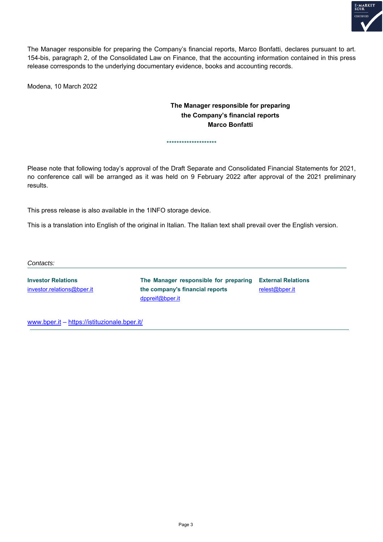

The Manager responsible for preparing the Company's financial reports, Marco Bonfatti, declares pursuant to art. 154-bis, paragraph 2, of the Consolidated Law on Finance, that the accounting information contained in this press release corresponds to the underlying documentary evidence, books and accounting records.

Modena, 10 March 2022

#### **The Manager responsible for preparing the Company's financial reports Marco Bonfatti**

Please note that following today's approval of the Draft Separate and Consolidated Financial Statements for 2021, no conference call will be arranged as it was held on 9 February 2022 after approval of the 2021 preliminary results.

\*\*\*\*\*\*\*\*\*\*\*\*\*\*\*\*\*\*\*\*

This press release is also available in the 1INFO storage device.

This is a translation into English of the original in Italian. The Italian text shall prevail over the English version.

*Contacts:* 

**Investor Relations**  investor.relations@bper.it

**The Manager responsible for preparing External Relations the company's financial reports**  dppreif@bper.it relest@bper.it

www.bper.it – https://istituzionale.bper.it/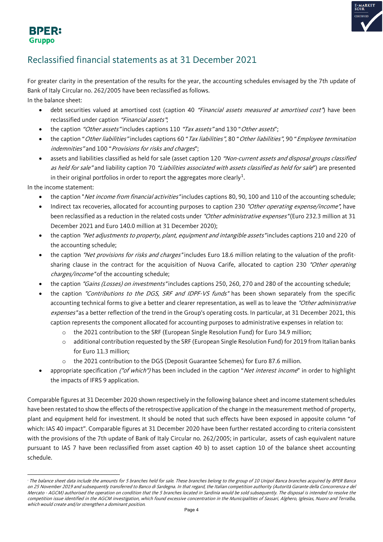

#### **BPER: Gruppo**

### Reclassified financial statements as at 31 December 2021

For greater clarity in the presentation of the results for the year, the accounting schedules envisaged by the 7th update of Bank of Italy Circular no. 262/2005 have been reclassified as follows. In the balance sheet:

- debt securities valued at amortised cost (caption 40 "Financial assets measured at amortised cost") have been reclassified under caption "Financial assets";
- the caption "Other assets" includes captions 110 "Tax assets" and 130 "Other assets";
- the caption "Other liabilities" includes captions 60 "Tax liabilities", 80 "Other liabilities", 90 "Employee termination indemnities" and 100 "Provisions for risks and charges";
- assets and liabilities classified as held for sale (asset caption 120 "Non-current assets and disposal groups classified as held for sale" and liability caption 70 "Liabilities associated with assets classified as held for sale") are presented in their original portfolios in order to report the aggregates more clearly $^1\!\!$  $^1\!\!$  $^1\!\!$  .

In the income statement:

- the caption "Net income from financial activities" includes captions 80, 90, 100 and 110 of the accounting schedule;
- Indirect tax recoveries, allocated for accounting purposes to caption 230 "Other operating expense/income", have been reclassified as a reduction in the related costs under "Other administrative expenses" (Euro 232.3 million at 31 December 2021 and Euro 140.0 million at 31 December 2020);
- the caption "Net adjustments to property, plant, equipment and intangible assets" includes captions 210 and 220 of the accounting schedule;
- the caption "Net provisions for risks and charges" includes Euro 18.6 million relating to the valuation of the profitsharing clause in the contract for the acquisition of Nuova Carife, allocated to caption 230 "Other operating charges/income" of the accounting schedule;
- the caption "Gains (Losses) on investments" includes captions 250, 260, 270 and 280 of the accounting schedule;
- the caption "Contributions to the DGS, SRF and IDPF-VS funds" has been shown separately from the specific accounting technical forms to give a better and clearer representation, as well as to leave the "Other administrative expenses" as a better reflection of the trend in the Group's operating costs. In particular, at 31 December 2021, this caption represents the component allocated for accounting purposes to administrative expenses in relation to:
	- o the 2021 contribution to the SRF (European Single Resolution Fund) for Euro 34.9 million;
	- o additional contribution requested by the SRF (European Single Resolution Fund) for 2019 from Italian banks for Euro 11.3 million;
	- the 2021 contribution to the DGS (Deposit Guarantee Schemes) for Euro 87.6 million.
- appropriate specification ("of which") has been included in the caption "Net interest income" in order to highlight the impacts of IFRS 9 application.

Comparable figures at 31 December 2020 shown respectively in the following balance sheet and income statement schedules have been restated to show the effects of the retrospective application of the change in the measurement method of property, plant and equipment held for investment. It should be noted that such effects have been exposed in apposite column "of which: IAS 40 impact". Comparable figures at 31 December 2020 have been further restated according to criteria consistent with the provisions of the 7th update of Bank of Italy Circular no. 262/2005; in particular, assets of cash equivalent nature pursuant to IAS 7 have been reclassified from asset caption 40 b) to asset caption 10 of the balance sheet accounting schedule.

<span id="page-3-0"></span>The balance sheet data include the amounts for 5 branches held for sale. These branches belong to the group of 10 Unipol Banca branches acquired by BPER Banca on 25 November 2019 and subsequently transferred to Banco di Sardegna. In that regard, the Italian competition authority (Autorità Garante della Concorrenza e del Mercato - AGCM) authorised the operation on condition that the 5 branches located in Sardinia would be sold subsequently. The disposal is intended to resolve the competition issue identified in the AGCM investigation, which found excessive concentration in the Municipalities of Sassari, Alghero, Iglesias, Nuoro and Terralba, which would create and/or strengthen a dominant position.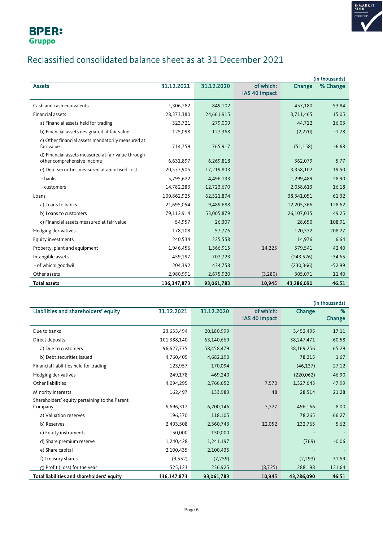

### Reclassified consolidated balance sheet as at 31 December 2021

|                                                                                  |               |            |               |            | (in thousands) |
|----------------------------------------------------------------------------------|---------------|------------|---------------|------------|----------------|
| <b>Assets</b>                                                                    | 31.12.2021    | 31.12.2020 | of which:     | Change     | % Change       |
|                                                                                  |               |            | IAS 40 impact |            |                |
| Cash and cash equivalents                                                        | 1,306,282     | 849,102    |               | 457,180    | 53.84          |
| Financial assets                                                                 | 28,373,380    | 24,661,915 |               | 3,711,465  | 15.05          |
| a) Financial assets held for trading                                             | 323,721       | 279,009    |               | 44,712     | 16.03          |
| b) Financial assets designated at fair value                                     | 125,098       | 127,368    |               | (2,270)    | $-1.78$        |
| c) Other financial assets mandatorily measured at<br>fair value                  | 714,759       | 765,917    |               | (51, 158)  | $-6.68$        |
| d) Financial assets measured at fair value through<br>other comprehensive income | 6,631,897     | 6,269,818  |               | 362,079    | 5.77           |
| e) Debt securities measured at amortised cost                                    | 20,577,905    | 17,219,803 |               | 3,358,102  | 19.50          |
| - banks                                                                          | 5,795,622     | 4,496,133  |               | 1,299,489  | 28.90          |
| - customers                                                                      | 14,782,283    | 12,723,670 |               | 2,058,613  | 16.18          |
| Loans                                                                            | 100,862,925   | 62,521,874 |               | 38,341,051 | 61.32          |
| a) Loans to banks                                                                | 21,695,054    | 9,489,688  |               | 12,205,366 | 128.62         |
| b) Loans to customers                                                            | 79,112,914    | 53,005,879 |               | 26,107,035 | 49.25          |
| c) Financial assets measured at fair value                                       | 54,957        | 26,307     |               | 28,650     | 108.91         |
| Hedging derivatives                                                              | 178,108       | 57,776     |               | 120,332    | 208.27         |
| Equity investments                                                               | 240,534       | 225,558    |               | 14,976     | 6.64           |
| Property, plant and equipment                                                    | 1,946,456     | 1,366,915  | 14,225        | 579,541    | 42.40          |
| Intangible assets                                                                | 459,197       | 702,723    |               | (243, 526) | $-34.65$       |
| - of which: goodwill                                                             | 204,392       | 434,758    |               | (230, 366) | $-52.99$       |
| Other assets                                                                     | 2,980,991     | 2,675,920  | (3,280)       | 305,071    | 11.40          |
| <b>Total assets</b>                                                              | 136, 347, 873 | 93,061,783 | 10,945        | 43,286,090 | 46.51          |

|                                               |             |            |               |            | (in thousands) |
|-----------------------------------------------|-------------|------------|---------------|------------|----------------|
| Liabilities and shareholders' equity          | 31.12.2021  | 31.12.2020 | of which:     | Change     | %              |
|                                               |             |            | IAS 40 impact |            | Change         |
| Due to banks                                  | 23,633,494  | 20,180,999 |               | 3,452,495  | 17.11          |
| Direct deposits                               | 101,388,140 | 63,140,669 |               | 38,247,471 | 60.58          |
| a) Due to customers                           | 96,627,735  | 58,458,479 |               | 38,169,256 | 65.29          |
| b) Debt securities issued                     | 4,760,405   | 4,682,190  |               | 78,215     | 1.67           |
| Financial liabilities held for trading        | 123,957     | 170,094    |               | (46, 137)  | $-27.12$       |
| Hedging derivatives                           | 249,178     | 469,240    |               | (220,062)  | $-46.90$       |
| Other liabilities                             | 4,094,295   | 2,766,652  | 7,570         | 1,327,643  | 47.99          |
| Minority interests                            | 162,497     | 133,983    | 48            | 28,514     | 21.28          |
| Shareholders' equity pertaining to the Parent |             |            |               |            |                |
| Company                                       | 6,696,312   | 6,200,146  | 3,327         | 496,166    | 8.00           |
| a) Valuation reserves                         | 196,370     | 118,105    |               | 78,265     | 66.27          |
| b) Reserves                                   | 2,493,508   | 2,360,743  | 12,052        | 132,765    | 5.62           |
| c) Equity instruments                         | 150,000     | 150,000    |               |            |                |
| d) Share premium reserve                      | 1,240,428   | 1,241,197  |               | (769)      | $-0.06$        |
| e) Share capital                              | 2,100,435   | 2,100,435  |               |            |                |
| f) Treasury shares                            | (9, 552)    | (7, 259)   |               | (2, 293)   | 31.59          |
| g) Profit (Loss) for the year                 | 525,123     | 236,925    | (8, 725)      | 288,198    | 121.64         |
| Total liabilities and shareholders' equity    | 136,347,873 | 93,061,783 | 10,945        | 43,286,090 | 46.51          |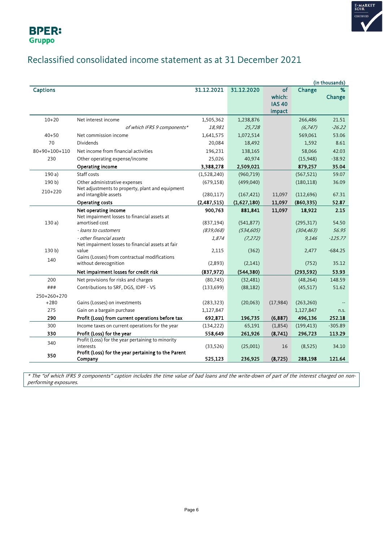



### Reclassified consolidated income statement as at 31 December 2021

|                 |                                                                                                                                                                  |                           |                              |                                         |                         | (in thousands)                  |
|-----------------|------------------------------------------------------------------------------------------------------------------------------------------------------------------|---------------------------|------------------------------|-----------------------------------------|-------------------------|---------------------------------|
| <b>Captions</b> |                                                                                                                                                                  | 31.12.2021                | 31.12.2020                   | of<br>which:<br><b>IAS 40</b><br>impact | Change                  | %<br>Change                     |
| $10 + 20$       | Net interest income                                                                                                                                              | 1,505,362                 | 1,238,876                    |                                         | 266,486                 | 21.51                           |
|                 | of which IFRS 9 components*                                                                                                                                      | 18,981                    | 25,728                       |                                         | (6, 747)                | $-26.22$                        |
| $40 + 50$       | Net commission income                                                                                                                                            | 1,641,575                 | 1,072,514                    |                                         | 569,061                 | 53.06                           |
| 70              | <b>Dividends</b>                                                                                                                                                 | 20,084                    | 18,492                       |                                         | 1,592                   | 8.61                            |
| 80+90+100+110   | Net income from financial activities                                                                                                                             | 196,231                   | 138,165                      |                                         | 58,066                  | 42.03                           |
| 230             | Other operating expense/income                                                                                                                                   | 25,026                    | 40,974                       |                                         | (15,948)                | $-38.92$                        |
|                 | Operating income                                                                                                                                                 | 3,388,278                 | 2,509,021                    |                                         | 879,257                 | 35.04                           |
| 190a)           | Staff costs                                                                                                                                                      | (1,528,240)               | (960, 719)                   |                                         | (567, 521)              | 59.07                           |
| 190 b)          | Other administrative expenses                                                                                                                                    | (679, 158)                | (499,040)                    |                                         | (180, 118)              | 36.09                           |
| $210+220$       | Net adjustments to property, plant and equipment                                                                                                                 |                           |                              |                                         |                         |                                 |
|                 | and intangible assets                                                                                                                                            | (280, 117)                | (167, 421)                   | 11,097                                  | (112, 696)              | 67.31                           |
|                 | Operating costs                                                                                                                                                  | (2,487,515)               | (1,627,180)                  | 11,097                                  | (860, 335)              | 52.87                           |
| 130a            | Net operating income<br>Net impairment losses to financial assets at<br>amortised cost                                                                           | 900,763<br>(837, 194)     | 881,841<br>(541, 877)        | 11,097                                  | 18,922<br>(295, 317)    | 2.15<br>54.50                   |
|                 | - loans to customers                                                                                                                                             | (839,068)                 | (534, 605)                   |                                         | (304, 463)              | 56.95                           |
| 130 b)<br>140   | - other financial assets<br>Net impairment losses to financial assets at fair<br>value<br>Gains (Losses) from contractual modifications<br>without derecognition | 1,874<br>2,115<br>(2,893) | (7, 272)<br>(362)<br>(2,141) |                                         | 9,146<br>2,477<br>(752) | $-125.77$<br>$-684.25$<br>35.12 |
|                 | Net impairment losses for credit risk                                                                                                                            | (837, 972)                | (544, 380)                   |                                         | (293, 592)              | 53.93                           |
| 200             | Net provisions for risks and charges                                                                                                                             | (80, 745)                 | (32, 481)                    |                                         | (48, 264)               | 148.59                          |
| ###             | Contributions to SRF, DGS, IDPF - VS                                                                                                                             | (133, 699)                | (88, 182)                    |                                         | (45, 517)               | 51.62                           |
| 250+260+270     |                                                                                                                                                                  |                           |                              |                                         |                         |                                 |
| $+280$          | Gains (Losses) on investments                                                                                                                                    | (283, 323)                | (20,063)                     | (17, 984)                               | (263, 260)              |                                 |
| 275             | Gain on a bargain purchase                                                                                                                                       | 1,127,847                 |                              |                                         | 1,127,847               | n.s.                            |
| 290             | Profit (Loss) from current operations before tax                                                                                                                 | 692,871                   | 196,735                      | (6, 887)                                | 496,136                 | 252.18                          |
| 300             | Income taxes on current operations for the year                                                                                                                  | (134, 222)                | 65,191                       | (1,854)                                 | (199, 413)              | $-305.89$                       |
| 330             | Profit (Loss) for the year                                                                                                                                       | 558,649                   | 261,926                      | (8,741)                                 | 296,723                 | 113.29                          |
| 340             | Profit (Loss) for the year pertaining to minority<br>interests                                                                                                   | (33,526)                  | (25,001)                     | 16                                      | (8,525)                 | 34.10                           |
| 350             | Profit (Loss) for the year pertaining to the Parent<br>Company                                                                                                   | 525,123                   | 236,925                      | (8, 725)                                | 288,198                 | 121.64                          |

\* The "of which IFRS 9 components" caption includes the time value of bad loans and the write-down of part of the interest charged on nonperforming exposures.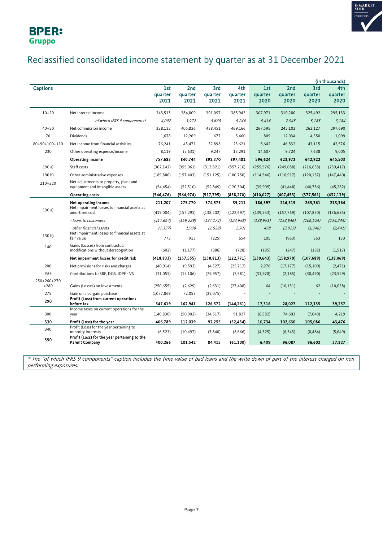



### Reclassified consolidated income statement by quarter as at 31 December 2021

|                       |                                                                                                                |                        |                        |                        |                        |                        |                        |                        | (in thousands)         |
|-----------------------|----------------------------------------------------------------------------------------------------------------|------------------------|------------------------|------------------------|------------------------|------------------------|------------------------|------------------------|------------------------|
| <b>Captions</b>       |                                                                                                                | 1st<br>quarter<br>2021 | 2nd<br>quarter<br>2021 | 3rd<br>quarter<br>2021 | 4th<br>quarter<br>2021 | 1st<br>quarter<br>2020 | 2nd<br>quarter<br>2020 | 3rd<br>quarter<br>2020 | 4th<br>quarter<br>2020 |
| $10 + 20$             | Net interest income                                                                                            | 343,513                | 384,809                | 391,097                | 385,943                | 307,971                | 310,280                | 325,492                | 295,133                |
|                       | of which IFRS 9 components*                                                                                    | 4,097                  | 3,972                  | 5,668                  | 5,244                  | 9,414                  | 7,945                  | 5,185                  | 3,184                  |
| $40 + 50$             | Net commission income                                                                                          | 328,132                | 405,826                | 438,451                | 469,166                | 267,595                | 245,102                | 262,127                | 297,690                |
| 70                    | Dividends                                                                                                      | 1,678                  | 12,269                 | 677                    | 5,460                  | 809                    | 12,034                 | 4,550                  | 1,099                  |
| $80+90+100+110$       | Net income from financial activities                                                                           | 76,241                 | 43,471                 | 52,898                 | 23,621                 | 5,642                  | 46,832                 | 43,115                 | 42,576                 |
| 230                   | Other operating expense/income                                                                                 | 8,119                  | (5,631)                | 9,247                  | 13,291                 | 14,607                 | 9,724                  | 7,638                  | 9,005                  |
|                       | <b>Operating income</b>                                                                                        | 757,683                | 840,744                | 892,370                | 897,481                | 596,624                | 623,972                | 642,922                | 645,503                |
| 190a)                 | Staff costs                                                                                                    | (302, 142)             | (355,061)              | (313, 821)             | (557, 216)             | (255, 576)             | (249, 088)             | (216, 638)             | (239, 417)             |
| 190 b)                | Other administrative expenses                                                                                  | (189, 880)             | (157, 403)             | (151, 125)             | (180, 750)             | (114, 546)             | (116, 917)             | (120, 137)             | (147, 440)             |
| 210+220               | Net adjustments to property, plant and<br>equipment and intangible assets                                      | (54, 454)              | (52, 510)              | (52, 849)              | (120, 304)             | (39,905)               | (41, 448)              | (40, 786)              | (45, 282)              |
|                       | <b>Operating costs</b>                                                                                         | (546,476)              | (564, 974)             | (517, 795)             | (858, 270)             | (410, 027)             | (407,453)              | (377, 561)             | (432, 139)             |
| 130a                  | Net operating income<br>Net impairment losses to financial assets at<br>amortised cost                         | 211,207<br>(419,004)   | 275,770<br>(157, 291)  | 374,575<br>(138, 202)  | 39,211<br>(122, 697)   | 186,597<br>(139, 553)  | 216,519<br>(157, 769)  | 265,361<br>(107, 870)  | 213,364<br>(136, 685)  |
|                       | - loans to customers                                                                                           | (417, 667)             | (159, 229)             | (137, 174)             | (124, 998)             | (139, 991)             | (153, 846)             | (106, 524)             | (134, 244)             |
| 130 <sub>b</sub>      | - other financial assets<br>Net impairment losses to financial assets at<br>fair value                         | (1, 337)<br>773        | 1,938<br>913           | (1,028)<br>(225)       | 2,301<br>654           | 438<br>105             | (3, 923)<br>(963)      | (1, 346)<br>363        | (2, 441)<br>133        |
| 140                   | Gains (Losses) from contractual<br>modifications without derecognition                                         | (602)                  | (1, 177)               | (386)                  | (728)                  | (195)                  | (247)                  | (182)                  | (1,517)                |
|                       | Net impairment losses for credit risk                                                                          | (418, 833)             | (157, 555)             | (138, 813)             | (122, 771)             | (139, 643)             | (158, 979)             | (107, 689)             | (138,069)              |
| 200                   | Net provisions for risks and charges                                                                           | (40, 914)              | (9, 592)               | (4,527)                | (25, 712)              | 2,276                  | (17, 177)              | (15, 109)              | (2, 471)               |
| ###                   | Contributions to SRF, DGS, IDPF - VS                                                                           | (31,055)               | (15, 106)              | (79, 957)              | (7, 581)               | (31, 978)              | (2, 185)               | (30, 490)              | (23, 529)              |
| 250+260+270<br>$+280$ | Gains (Losses) on investments                                                                                  | (250, 655)             | (2,629)                | (2,631)                | (27, 408)              | 64                     | (10, 151)              | 62                     | (10,038)               |
| 275<br>290            | Gain on a bargain purchase<br>Profit (Loss) from current operations                                            | 1,077,869              | 72,053                 | (22,075)               |                        |                        |                        |                        |                        |
|                       | before tax<br>Income taxes on current operations for the                                                       | 547,619                | 162,941                | 126,572                | (144, 261)             | 17,316                 | 28,027                 | 112,135                | 39,257                 |
| 300                   | year                                                                                                           | (140, 830)             | (50, 902)              | (34, 317)              | 91,827                 | (6, 582)               | 74,603                 | (7,049)                | 4,219                  |
| 330                   | Profit (Loss) for the year                                                                                     | 406,789                | 112,039                | 92,255                 | (52, 434)              | 10,734                 | 102,630                | 105,086                | 43,476                 |
| 340                   | Profit (Loss) for the year pertaining to<br>minority interests<br>Profit (Loss) for the year pertaining to the | (6, 523)               | (10, 497)              | (7, 840)               | (8,666)                | (4,325)                | (6, 543)               | (8, 484)               | (5,649)                |
| 350                   | <b>Parent Company</b>                                                                                          | 400,266                | 101,542                | 84,415                 | (61, 100)              | 6.409                  | 96.087                 | 96,602                 | 37,827                 |

\* The "of which IFRS 9 components" caption includes the time value of bad loans and the write-down of part of the interest charged on nonperforming exposures.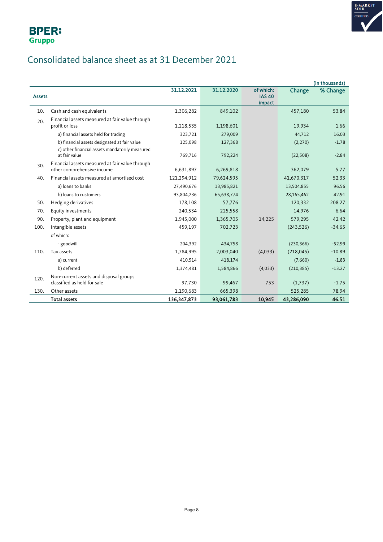

### Consolidated balance sheet as at 31 December 2021

|               |                                                                               |               |            |                            |            | (in thousands) |
|---------------|-------------------------------------------------------------------------------|---------------|------------|----------------------------|------------|----------------|
| <b>Assets</b> |                                                                               | 31.12.2021    | 31.12.2020 | of which:<br><b>IAS 40</b> | Change     | % Change       |
|               |                                                                               |               |            | impact                     |            |                |
| 10.           | Cash and cash equivalents                                                     | 1,306,282     | 849,102    |                            | 457,180    | 53.84          |
| 20.           | Financial assets measured at fair value through<br>profit or loss             | 1,218,535     | 1,198,601  |                            | 19,934     | 1.66           |
|               | a) financial assets held for trading                                          | 323,721       | 279,009    |                            | 44,712     | 16.03          |
|               | b) financial assets designated at fair value                                  | 125,098       | 127,368    |                            | (2,270)    | $-1.78$        |
|               | c) other financial assets mandatorily measured<br>at fair value               | 769,716       | 792,224    |                            | (22, 508)  | $-2.84$        |
| 30.           | Financial assets measured at fair value through<br>other comprehensive income | 6,631,897     | 6,269,818  |                            | 362,079    | 5.77           |
| 40.           | Financial assets measured at amortised cost                                   | 121,294,912   | 79,624,595 |                            | 41,670,317 | 52.33          |
|               | a) loans to banks                                                             | 27,490,676    | 13,985,821 |                            | 13,504,855 | 96.56          |
|               | b) loans to customers                                                         | 93,804,236    | 65,638,774 |                            | 28,165,462 | 42.91          |
| 50.           | Hedging derivatives                                                           | 178,108       | 57,776     |                            | 120,332    | 208.27         |
| 70.           | Equity investments                                                            | 240,534       | 225,558    |                            | 14,976     | 6.64           |
| 90.           | Property, plant and equipment                                                 | 1,945,000     | 1,365,705  | 14,225                     | 579,295    | 42.42          |
| 100.          | Intangible assets                                                             | 459,197       | 702,723    |                            | (243, 526) | $-34.65$       |
|               | of which:                                                                     |               |            |                            |            |                |
|               | - goodwill                                                                    | 204,392       | 434,758    |                            | (230, 366) | $-52.99$       |
| 110.          | Tax assets                                                                    | 1,784,995     | 2,003,040  | (4,033)                    | (218, 045) | $-10.89$       |
|               | a) current                                                                    | 410,514       | 418,174    |                            | (7,660)    | $-1.83$        |
|               | b) deferred                                                                   | 1,374,481     | 1,584,866  | (4,033)                    | (210, 385) | $-13.27$       |
| 120.          | Non-current assets and disposal groups                                        |               |            |                            |            |                |
|               | classified as held for sale                                                   | 97,730        | 99,467     | 753                        | (1,737)    | $-1.75$        |
| 130.          | Other assets                                                                  | 1,190,683     | 665,398    |                            | 525,285    | 78.94          |
|               | <b>Total assets</b>                                                           | 136, 347, 873 | 93,061,783 | 10,945                     | 43,286,090 | 46.51          |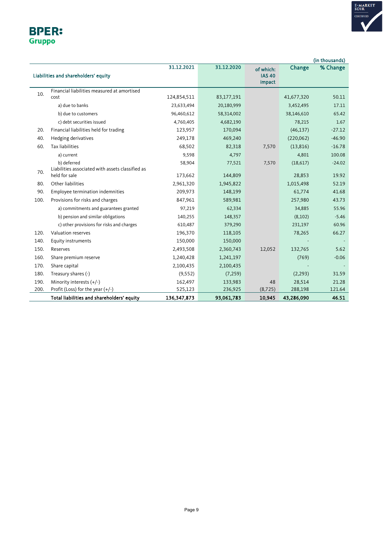

|        | <b>BPER:</b> |
|--------|--------------|
| Gruppo |              |

|      |                                                  |               |            |               |            | (in thousands) |
|------|--------------------------------------------------|---------------|------------|---------------|------------|----------------|
|      |                                                  | 31.12.2021    | 31.12.2020 | of which:     | Change     | % Change       |
|      | Liabilities and shareholders' equity             |               |            | <b>IAS 40</b> |            |                |
|      |                                                  |               |            | impact        |            |                |
| 10.  | Financial liabilities measured at amortised      |               |            |               |            |                |
|      | cost                                             | 124,854,511   | 83,177,191 |               | 41,677,320 | 50.11          |
|      | a) due to banks                                  | 23,633,494    | 20,180,999 |               | 3,452,495  | 17.11          |
|      | b) due to customers                              | 96,460,612    | 58,314,002 |               | 38,146,610 | 65.42          |
|      | c) debt securities issued                        | 4,760,405     | 4,682,190  |               | 78,215     | 1.67           |
| 20.  | Financial liabilities held for trading           | 123,957       | 170,094    |               | (46, 137)  | $-27.12$       |
| 40.  | Hedging derivatives                              | 249,178       | 469,240    |               | (220,062)  | $-46.90$       |
| 60.  | <b>Tax liabilities</b>                           | 68,502        | 82,318     | 7,570         | (13, 816)  | $-16.78$       |
|      | a) current                                       | 9,598         | 4,797      |               | 4,801      | 100.08         |
|      | b) deferred                                      | 58,904        | 77,521     | 7,570         | (18,617)   | $-24.02$       |
| 70.  | Liabilities associated with assets classified as |               |            |               |            |                |
|      | held for sale                                    | 173,662       | 144,809    |               | 28,853     | 19.92          |
| 80.  | Other liabilities                                | 2,961,320     | 1,945,822  |               | 1,015,498  | 52.19          |
| 90.  | Employee termination indemnities                 | 209,973       | 148,199    |               | 61,774     | 41.68          |
| 100. | Provisions for risks and charges                 | 847,961       | 589,981    |               | 257,980    | 43.73          |
|      | a) commitments and guarantees granted            | 97,219        | 62,334     |               | 34,885     | 55.96          |
|      | b) pension and similar obligations               | 140,255       | 148,357    |               | (8,102)    | $-5.46$        |
|      | c) other provisions for risks and charges        | 610,487       | 379,290    |               | 231,197    | 60.96          |
| 120. | Valuation reserves                               | 196,370       | 118,105    |               | 78,265     | 66.27          |
| 140. | Equity instruments                               | 150,000       | 150,000    |               |            |                |
| 150. | Reserves                                         | 2,493,508     | 2,360,743  | 12,052        | 132,765    | 5.62           |
| 160. | Share premium reserve                            | 1,240,428     | 1,241,197  |               | (769)      | $-0.06$        |
| 170. | Share capital                                    | 2,100,435     | 2,100,435  |               |            |                |
| 180. | Treasury shares (-)                              | (9, 552)      | (7, 259)   |               | (2, 293)   | 31.59          |
| 190. | Minority interests $(+/-)$                       | 162,497       | 133,983    | 48            | 28,514     | 21.28          |
| 200. | Profit (Loss) for the year $(+/-)$               | 525,123       | 236,925    | (8, 725)      | 288,198    | 121.64         |
|      | Total liabilities and shareholders' equity       | 136, 347, 873 | 93,061,783 | 10,945        | 43,286,090 | 46.51          |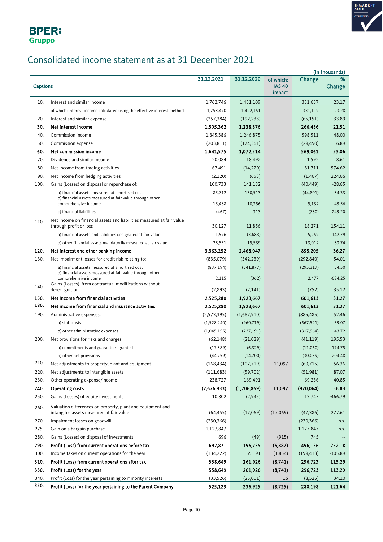

## Consolidated income statement as at 31 December 2021

|                 |                                                                                  |               |             |                         |            | (in thousands) |
|-----------------|----------------------------------------------------------------------------------|---------------|-------------|-------------------------|------------|----------------|
|                 |                                                                                  | 31.12.2021    | 31.12.2020  | of which:               | Change     | %              |
| <b>Captions</b> |                                                                                  |               |             | <b>IAS 40</b><br>impact |            | Change         |
|                 |                                                                                  |               |             |                         |            |                |
| 10.             | Interest and similar income                                                      | 1,762,746     | 1,431,109   |                         | 331,637    | 23.17          |
|                 | of which: interest income calculated using the effective interest method         | 1,753,470     | 1,422,351   |                         | 331,119    | 23.28          |
| 20.             | Interest and similar expense                                                     | (257, 384)    | (192, 233)  |                         | (65, 151)  | 33.89          |
| 30.             | Net interest income                                                              | 1,505,362     | 1,238,876   |                         | 266,486    | 21.51          |
| 40.             | Commission income                                                                | 1,845,386     | 1,246,875   |                         | 598,511    | 48.00          |
| 50.             | Commission expense                                                               | (203, 811)    | (174, 361)  |                         | (29, 450)  | 16.89          |
| 60.             | Net commission income                                                            | 1,641,575     | 1,072,514   |                         | 569,061    | 53.06          |
| 70.             | Dividends and similar income                                                     | 20,084        | 18,492      |                         | 1,592      | 8.61           |
| 80.             | Net income from trading activities                                               | 67,491        | (14, 220)   |                         | 81,711     | $-574.62$      |
| 90.             | Net income from hedging activities                                               | (2,120)       | (653)       |                         | (1, 467)   | 224.66         |
| 100.            | Gains (Losses) on disposal or repurchase of:                                     | 100,733       | 141,182     |                         | (40, 449)  | $-28.65$       |
|                 | a) financial assets measured at amortised cost                                   | 85,712        | 130,513     |                         | (44, 801)  | $-34.33$       |
|                 | b) financial assets measured at fair value through other<br>comprehensive income | 15,488        | 10,356      |                         | 5,132      | 49.56          |
|                 | c) financial liabilities                                                         | (467)         | 313         |                         | (780)      | $-249.20$      |
|                 | Net income on financial assets and liabilities measured at fair value            |               |             |                         |            |                |
| 110.            | through profit or loss                                                           | 30,127        | 11,856      |                         | 18,271     | 154.11         |
|                 | a) financial assets and liabilities designated at fair value                     | 1,576         | (3,683)     |                         | 5,259      | $-142.79$      |
|                 | b) other financial assets mandatorily measured at fair value                     | 28,551        | 15,539      |                         | 13,012     | 83.74          |
| 120.            | Net interest and other banking income                                            | 3,363,252     | 2,468,047   |                         | 895,205    | 36.27          |
| 130.            | Net impairment losses for credit risk relating to:                               | (835,079)     | (542, 239)  |                         | (292, 840) | 54.01          |
|                 | a) financial assets measured at amortised cost                                   | (837, 194)    | (541, 877)  |                         | (295, 317) | 54.50          |
|                 | b) financial assets measured at fair value through other<br>comprehensive income | 2,115         | (362)       |                         | 2,477      | $-684.25$      |
| 140.            | Gains (Losses) from contractual modifications without                            |               |             |                         |            |                |
|                 | derecognition                                                                    | (2,893)       | (2,141)     |                         | (752)      | 35.12          |
| 150.            | Net income from financial activities                                             | 2,525,280     | 1,923,667   |                         | 601,613    | 31.27          |
| 180.            | Net income from financial and insurance activities                               | 2,525,280     | 1,923,667   |                         | 601,613    | 31.27          |
| 190.            | Administrative expenses:                                                         | (2, 573, 395) | (1,687,910) |                         | (885, 485) | 52.46          |
|                 | a) staff costs                                                                   | (1,528,240)   | (960, 719)  |                         | (567, 521) | 59.07          |
|                 | b) other administrative expenses                                                 | (1,045,155)   | (727, 191)  |                         | (317, 964) | 43.72          |
| 200.            | Net provisions for risks and charges                                             | (62, 148)     | (21,029)    |                         | (41, 119)  | 195.53         |
|                 | a) commitments and guarantees granted                                            | (17, 389)     | (6, 329)    |                         | (11,060)   | 174.75         |
|                 | b) other net provisions                                                          | (44, 759)     | (14,700)    |                         | (30,059)   | 204.48         |
| 210.            | Net adjustments to property, plant and equipment                                 | (168, 434)    | (107, 719)  | 11,097                  | (60, 715)  | 56.36          |
| 220.            | Net adjustments to intangible assets                                             | (111, 683)    | (59, 702)   |                         | (51,981)   | 87.07          |
| 230.            | Other operating expense/income                                                   | 238,727       | 169,491     |                         | 69,236     | 40.85          |
| 240.            | Operating costs                                                                  | (2,676,933)   | (1,706,869) | 11,097                  | (970, 064) | 56.83          |
| 250.            | Gains (Losses) of equity investments                                             | 10,802        | (2, 945)    |                         | 13,747     | $-466.79$      |
| 260.            | Valuation differences on property, plant and equipment and                       |               |             |                         |            |                |
|                 | intangible assets measured at fair value                                         | (64, 455)     | (17,069)    | (17,069)                | (47, 386)  | 277.61         |
| 270.            | Impairment losses on goodwill                                                    | (230, 366)    |             |                         | (230, 366) | n.s.           |
| 275.            | Gain on a bargain purchase                                                       | 1,127,847     |             |                         | 1,127,847  | n.s.           |
| 280.            | Gains (Losses) on disposal of investments                                        | 696           | (49)        | (915)                   | 745        |                |
| 290.            | Profit (Loss) from current operations before tax                                 | 692,871       | 196,735     | (6, 887)                | 496,136    | 252.18         |
| 300.            | Income taxes on current operations for the year                                  | (134, 222)    | 65,191      | (1,854)                 | (199, 413) | $-305.89$      |
| 310.            | Profit (Loss) from current operations after tax                                  | 558,649       | 261,926     | (8,741)                 | 296,723    | 113.29         |
| 330.            | Profit (Loss) for the year                                                       | 558,649       | 261,926     | (8,741)                 | 296,723    | 113.29         |
| 340.            | Profit (Loss) for the year pertaining to minority interests                      | (33,526)      | (25,001)    | 16                      | (8,525)    | 34.10          |
| 350.            | Profit (Loss) for the year pertaining to the Parent Company                      | 525,123       | 236,925     | (8, 725)                | 288,198    | 121.64         |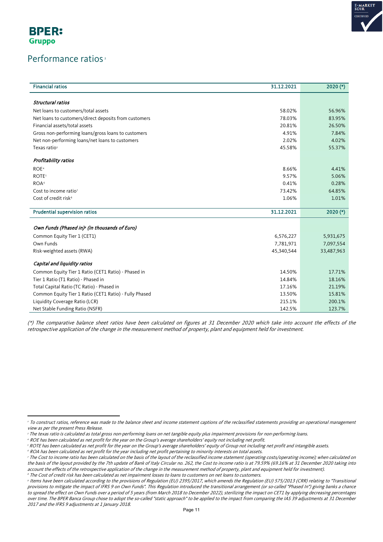

**BPER: Gruppo** 

#### Performance ratios<sup>[2](#page-10-0)</sup>

| <b>Financial ratios</b>                                | 31.12.2021 | $2020$ (*) |
|--------------------------------------------------------|------------|------------|
|                                                        |            |            |
| Structural ratios                                      |            |            |
| Net loans to customers/total assets                    | 58.02%     | 56.96%     |
| Net loans to customers/direct deposits from customers  | 78.03%     | 83.95%     |
| Financial assets/total assets                          | 20.81%     | 26.50%     |
| Gross non-performing loans/gross loans to customers    | 4.91%      | 7.84%      |
| Net non-performing loans/net loans to customers        | 2.02%      | 4.02%      |
| Texas ratio <sup>3</sup>                               | 45.58%     | 55.37%     |
| Profitability ratios                                   |            |            |
| ROE <sup>4</sup>                                       | 8.66%      | 4.41%      |
| <b>ROTE</b> <sup>5</sup>                               | 9.57%      | 5.06%      |
| ROA <sup>6</sup>                                       | 0.41%      | 0.28%      |
| Cost to income ratio?                                  | 73.42%     | 64.85%     |
| Cost of credit risk <sup>8</sup>                       | 1.06%      | 1.01%      |
| <b>Prudential supervision ratios</b>                   | 31.12.2021 | $2020$ (*) |
| Own Funds (Phased in) (in thousands of Euro)           |            |            |
| Common Equity Tier 1 (CET1)                            | 6,576,227  | 5,931,675  |
| Own Funds                                              | 7,781,971  | 7,097,554  |
| Risk-weighted assets (RWA)                             | 45,340,544 | 33,487,963 |
|                                                        |            |            |
| Capital and liquidity ratios                           |            |            |
| Common Equity Tier 1 Ratio (CET1 Ratio) - Phased in    | 14.50%     | 17.71%     |
| Tier 1 Ratio (T1 Ratio) - Phased in                    | 14.84%     | 18.16%     |
| Total Capital Ratio (TC Ratio) - Phased in             | 17.16%     | 21.19%     |
| Common Equity Tier 1 Ratio (CET1 Ratio) - Fully Phased | 13.50%     | 15.81%     |
| Liquidity Coverage Ratio (LCR)                         | 215.1%     | 200.1%     |
| Net Stable Funding Ratio (NSFR)                        | 142.5%     | 123.7%     |

(\*) The comparative balance sheet ratios have been calculated on figures at 31 December 2020 which take into account the effects of the retrospective application of the change in the measurement method of property, plant and equipment held for investment.

<span id="page-10-2"></span><sup>4</sup> ROE has been calculated as net profit for the year on the Group's average shareholders' equity not including net profit.

<span id="page-10-0"></span><sup>&</sup>lt;sup>2</sup> To construct ratios, reference was made to the balance sheet and income statement captions of the reclassified statements providing an operational management view as per the present Press Release.

<span id="page-10-1"></span><sup>&</sup>lt;sup>3</sup> The texas ratio is calculated as total gross non-performing loans on net tangible equity plus impairment provisions for non-performing loans.

<span id="page-10-3"></span><sup>5</sup> ROTE has been calculated as net profit for the year on the Group's average shareholders' equity of Group not including net profit and intangible assets.

<span id="page-10-4"></span> $6$  ROA has been calculated as net profit for the year including net profit pertaining to minority interests on total assets.

<span id="page-10-5"></span><sup>7</sup> The Cost to income ratio has been calculated on the basis of the layout of the reclassified income statement (operating costs/operating income); when calculated on the basis of the layout provided by the 7th update of Bank of Italy Circular no. 262, the Cost to income ratio is at 79.59% (69.16% at 31 December 2020 taking into account the effects of the retrospective application of the change in the measurement method of property, plant and equipment held for investment). <sup>8</sup> The Cost of credit risk has been calculated as net impairment losses to loans to customers on net loans to customers.

<span id="page-10-6"></span><sup>9</sup> Items have been calculated according to the provisions of Regulation (EU) 2395/2017, which amends the Regulation (EU) 575/2013 (CRR) relating to "Transitional provisions to mitigate the impact of IFRS 9 on Own Funds". This Regulation introduced the transitional arrangement (or so-called "Phased In") giving banks a chance to spread the effect on Own Funds over a period of 5 years (from March 2018 to December 2022), sterilizing the impact on CET1 by applying decreasing percentages over time. The BPER Banca Group chose to adopt the so-called "static approach" to be applied to the impact from comparing the IAS 39 adjustments at 31 December 2017 and the IFRS 9 adjustments at 1 January 2018.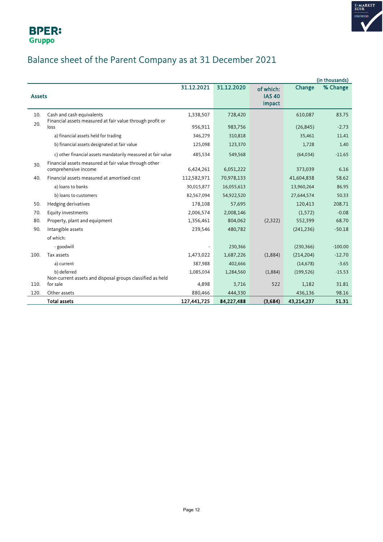

## Balance sheet of the Parent Company as at 31 December 2021

|               |                                                                       |             |            |               |            | (in thousands) |
|---------------|-----------------------------------------------------------------------|-------------|------------|---------------|------------|----------------|
|               |                                                                       | 31.12.2021  | 31.12.2020 | of which:     | Change     | % Change       |
| <b>Assets</b> |                                                                       |             |            | <b>IAS 40</b> |            |                |
|               |                                                                       |             |            | impact        |            |                |
| 10.           | Cash and cash equivalents                                             | 1,338,507   | 728,420    |               | 610,087    | 83.75          |
| 20.           | Financial assets measured at fair value through profit or<br>loss     | 956,911     | 983,756    |               | (26, 845)  | $-2.73$        |
|               |                                                                       |             |            |               |            |                |
|               | a) financial assets held for trading                                  | 346,279     | 310,818    |               | 35,461     | 11.41          |
|               | b) financial assets designated at fair value                          | 125,098     | 123,370    |               | 1,728      | 1.40           |
|               | c) other financial assets mandatorily measured at fair value          | 485,534     | 549,568    |               | (64, 034)  | $-11.65$       |
| 30.           | Financial assets measured at fair value through other                 |             |            |               |            |                |
|               | comprehensive income                                                  | 6,424,261   | 6,051,222  |               | 373,039    | 6.16           |
| 40.           | Financial assets measured at amortised cost                           | 112,582,971 | 70,978,133 |               | 41,604,838 | 58.62          |
|               | a) loans to banks                                                     | 30,015,877  | 16,055,613 |               | 13,960,264 | 86.95          |
|               | b) loans to customers                                                 | 82,567,094  | 54,922,520 |               | 27,644,574 | 50.33          |
| 50.           | Hedging derivatives                                                   | 178,108     | 57,695     |               | 120,413    | 208.71         |
| 70.           | Equity investments                                                    | 2,006,574   | 2,008,146  |               | (1,572)    | $-0.08$        |
| 80.           | Property, plant and equipment                                         | 1,356,461   | 804,062    | (2, 322)      | 552,399    | 68.70          |
| 90.           | Intangible assets                                                     | 239,546     | 480,782    |               | (241, 236) | $-50.18$       |
|               | of which:                                                             |             |            |               |            |                |
|               | - goodwill                                                            |             | 230,366    |               | (230, 366) | $-100.00$      |
| 100.          | Tax assets                                                            | 1,473,022   | 1,687,226  | (1,884)       | (214, 204) | $-12.70$       |
|               | a) current                                                            | 387,988     | 402,666    |               | (14, 678)  | $-3.65$        |
|               | b) deferred                                                           | 1,085,034   | 1,284,560  | (1,884)       | (199, 526) | $-15.53$       |
|               | Non-current assets and disposal groups classified as held<br>for sale |             |            | 522           |            | 31.81          |
| 110.          |                                                                       | 4,898       | 3,716      |               | 1,182      |                |
| 120.          | Other assets                                                          | 880,466     | 444,330    |               | 436,136    | 98.16          |
|               | <b>Total assets</b>                                                   | 127,441,725 | 84,227,488 | (3,684)       | 43,214,237 | 51.31          |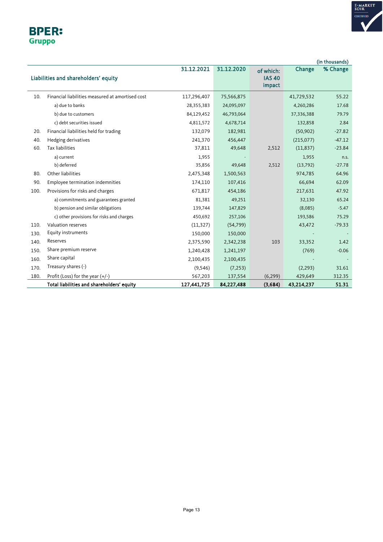

#### **BPER:** Gruppo

|      |                                                  |             |            |                                      |            | (in thousands) |
|------|--------------------------------------------------|-------------|------------|--------------------------------------|------------|----------------|
|      | Liabilities and shareholders' equity             | 31.12.2021  | 31.12.2020 | of which:<br><b>IAS 40</b><br>impact | Change     | % Change       |
| 10.  | Financial liabilities measured at amortised cost | 117,296,407 | 75,566,875 |                                      | 41,729,532 | 55.22          |
|      | a) due to banks                                  | 28,355,383  | 24,095,097 |                                      | 4,260,286  | 17.68          |
|      | b) due to customers                              | 84,129,452  | 46,793,064 |                                      | 37,336,388 | 79.79          |
|      | c) debt securities issued                        | 4,811,572   | 4,678,714  |                                      | 132,858    | 2.84           |
| 20.  | Financial liabilities held for trading           | 132,079     | 182,981    |                                      | (50, 902)  | $-27.82$       |
| 40.  | Hedging derivatives                              | 241,370     | 456,447    |                                      | (215,077)  | $-47.12$       |
| 60.  | <b>Tax liabilities</b>                           | 37,811      | 49,648     | 2,512                                | (11, 837)  | $-23.84$       |
|      | a) current                                       | 1,955       |            |                                      | 1,955      | n.s.           |
|      | b) deferred                                      | 35,856      | 49,648     | 2,512                                | (13,792)   | $-27.78$       |
| 80.  | Other liabilities                                | 2,475,348   | 1,500,563  |                                      | 974,785    | 64.96          |
| 90.  | Employee termination indemnities                 | 174,110     | 107,416    |                                      | 66,694     | 62.09          |
| 100. | Provisions for risks and charges                 | 671,817     | 454,186    |                                      | 217,631    | 47.92          |
|      | a) commitments and guarantees granted            | 81,381      | 49,251     |                                      | 32,130     | 65.24          |
|      | b) pension and similar obligations               | 139,744     | 147,829    |                                      | (8,085)    | $-5.47$        |
|      | c) other provisions for risks and charges        | 450,692     | 257,106    |                                      | 193,586    | 75.29          |
| 110. | Valuation reserves                               | (11, 327)   | (54, 799)  |                                      | 43,472     | $-79.33$       |
| 130. | Equity instruments                               | 150,000     | 150,000    |                                      |            |                |
| 140. | Reserves                                         | 2,375,590   | 2,342,238  | 103                                  | 33,352     | 1.42           |
| 150. | Share premium reserve                            | 1,240,428   | 1,241,197  |                                      | (769)      | $-0.06$        |
| 160. | Share capital                                    | 2,100,435   | 2,100,435  |                                      |            |                |
| 170. | Treasury shares (-)                              | (9,546)     | (7, 253)   |                                      | (2, 293)   | 31.61          |
| 180. | Profit (Loss) for the year (+/-)                 | 567,203     | 137,554    | (6, 299)                             | 429,649    | 312.35         |
|      | Total liabilities and shareholders' equity       | 127,441,725 | 84,227,488 | (3,684)                              | 43,214,237 | 51.31          |